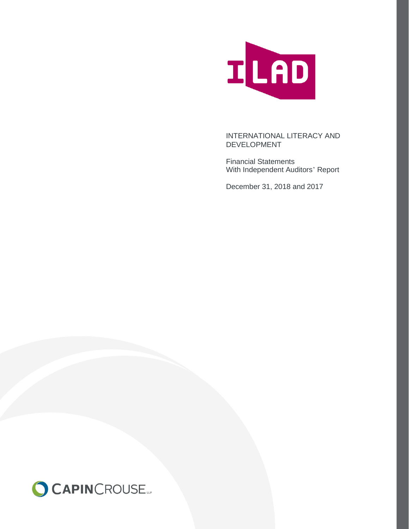

Financial Statements With Independent Auditors' Report

December 31, 2018 and 2017

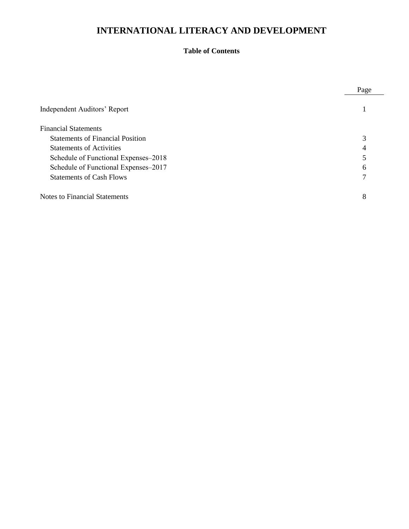# **Table of Contents**

|                                         | Page |
|-----------------------------------------|------|
| Independent Auditors' Report            |      |
| <b>Financial Statements</b>             |      |
| <b>Statements of Financial Position</b> |      |
| <b>Statements of Activities</b>         |      |
| Schedule of Functional Expenses–2018    |      |
| Schedule of Functional Expenses-2017    | 6    |
| <b>Statements of Cash Flows</b>         |      |
| Notes to Financial Statements           | 8    |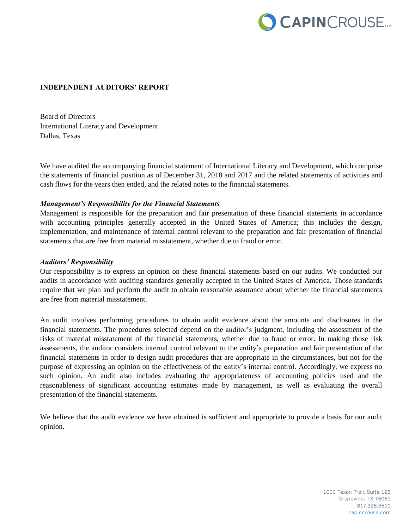

#### **INDEPENDENT AUDITORS' REPORT**

Board of Directors International Literacy and Development Dallas, Texas

We have audited the accompanying financial statement of International Literacy and Development, which comprise the statements of financial position as of December 31, 2018 and 2017 and the related statements of activities and cash flows for the years then ended, and the related notes to the financial statements.

#### *Management's Responsibility for the Financial Statements*

Management is responsible for the preparation and fair presentation of these financial statements in accordance with accounting principles generally accepted in the United States of America; this includes the design, implementation, and maintenance of internal control relevant to the preparation and fair presentation of financial statements that are free from material misstatement, whether due to fraud or error.

#### *Auditors' Responsibility*

Our responsibility is to express an opinion on these financial statements based on our audits. We conducted our audits in accordance with auditing standards generally accepted in the United States of America. Those standards require that we plan and perform the audit to obtain reasonable assurance about whether the financial statements are free from material misstatement.

An audit involves performing procedures to obtain audit evidence about the amounts and disclosures in the financial statements. The procedures selected depend on the auditor's judgment, including the assessment of the risks of material misstatement of the financial statements, whether due to fraud or error. In making those risk assessments, the auditor considers internal control relevant to the entity's preparation and fair presentation of the financial statements in order to design audit procedures that are appropriate in the circumstances, but not for the purpose of expressing an opinion on the effectiveness of the entity's internal control. Accordingly, we express no such opinion. An audit also includes evaluating the appropriateness of accounting policies used and the reasonableness of significant accounting estimates made by management, as well as evaluating the overall presentation of the financial statements.

We believe that the audit evidence we have obtained is sufficient and appropriate to provide a basis for our audit opinion.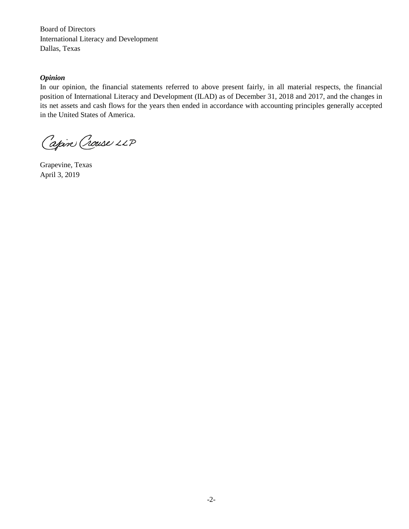Board of Directors International Literacy and Development Dallas, Texas

### *Opinion*

In our opinion, the financial statements referred to above present fairly, in all material respects, the financial position of International Literacy and Development (ILAD) as of December 31, 2018 and 2017, and the changes in its net assets and cash flows for the years then ended in accordance with accounting principles generally accepted in the United States of America.

Capin Crouse LLP

Grapevine, Texas April 3, 2019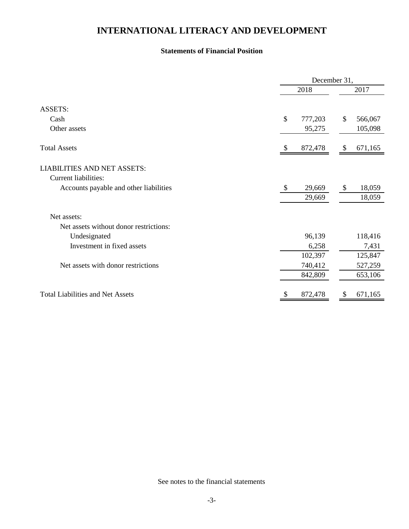### **Statements of Financial Position**

|                                         |              | December 31, |               |
|-----------------------------------------|--------------|--------------|---------------|
|                                         |              | 2018         | 2017          |
| <b>ASSETS:</b>                          |              |              |               |
| Cash                                    | \$           | 777,203      | \$<br>566,067 |
| Other assets                            |              | 95,275       | 105,098       |
| <b>Total Assets</b>                     |              | 872,478      | \$<br>671,165 |
| <b>LIABILITIES AND NET ASSETS:</b>      |              |              |               |
| Current liabilities:                    |              |              |               |
| Accounts payable and other liabilities  | $\mathbb{S}$ | 29,669       | \$<br>18,059  |
|                                         |              | 29,669       | 18,059        |
| Net assets:                             |              |              |               |
| Net assets without donor restrictions:  |              |              |               |
| Undesignated                            |              | 96,139       | 118,416       |
| Investment in fixed assets              |              | 6,258        | 7,431         |
|                                         |              | 102,397      | 125,847       |
| Net assets with donor restrictions      |              | 740,412      | 527,259       |
|                                         |              | 842,809      | 653,106       |
| <b>Total Liabilities and Net Assets</b> |              | 872,478      | \$<br>671,165 |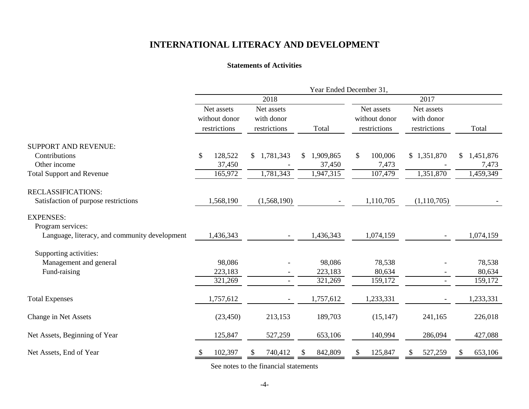#### **Statements of Activities**

|                                               | Year Ended December 31,                     |                                          |                           |                                             |                                          |                    |  |  |  |  |
|-----------------------------------------------|---------------------------------------------|------------------------------------------|---------------------------|---------------------------------------------|------------------------------------------|--------------------|--|--|--|--|
|                                               |                                             | 2018                                     |                           |                                             |                                          |                    |  |  |  |  |
|                                               | Net assets<br>without donor<br>restrictions | Net assets<br>with donor<br>restrictions | Total                     | Net assets<br>without donor<br>restrictions | Net assets<br>with donor<br>restrictions | Total              |  |  |  |  |
| <b>SUPPORT AND REVENUE:</b>                   |                                             |                                          |                           |                                             |                                          |                    |  |  |  |  |
| Contributions<br>Other income                 | \$<br>128,522<br>37,450                     | 1,781,343<br>\$                          | 1,909,865<br>\$<br>37,450 | \$<br>100,006                               | \$1,351,870                              | 1,451,876          |  |  |  |  |
| <b>Total Support and Revenue</b>              | 165,972                                     | 1,781,343                                | 1,947,315                 | 7,473<br>107,479                            | 1,351,870                                | 7,473<br>1,459,349 |  |  |  |  |
| <b>RECLASSIFICATIONS:</b>                     |                                             |                                          |                           |                                             |                                          |                    |  |  |  |  |
| Satisfaction of purpose restrictions          | 1,568,190                                   | (1,568,190)                              |                           | 1,110,705                                   | (1, 110, 705)                            |                    |  |  |  |  |
| <b>EXPENSES:</b><br>Program services:         |                                             |                                          |                           |                                             |                                          |                    |  |  |  |  |
| Language, literacy, and community development | 1,436,343                                   |                                          | 1,436,343                 | 1,074,159                                   |                                          | 1,074,159          |  |  |  |  |
| Supporting activities:                        |                                             |                                          |                           |                                             |                                          |                    |  |  |  |  |
| Management and general                        | 98,086                                      |                                          | 98,086                    | 78,538                                      |                                          | 78,538             |  |  |  |  |
| Fund-raising                                  | 223,183<br>321,269                          |                                          | 223,183<br>321,269        | 80,634<br>159,172                           | $\overline{\phantom{a}}$                 | 80,634<br>159,172  |  |  |  |  |
| <b>Total Expenses</b>                         | 1,757,612                                   |                                          | 1,757,612                 | 1,233,331                                   |                                          | 1,233,331          |  |  |  |  |
| Change in Net Assets                          | (23, 450)                                   | 213,153                                  | 189,703                   | (15, 147)                                   | 241,165                                  | 226,018            |  |  |  |  |
| Net Assets, Beginning of Year                 | 125,847                                     | 527,259                                  | 653,106                   | 140,994                                     | 286,094                                  | 427,088            |  |  |  |  |
| Net Assets, End of Year                       | 102,397<br><sup>\$</sup>                    | 740,412                                  | 842,809                   | 125,847                                     | 527,259                                  | 653,106            |  |  |  |  |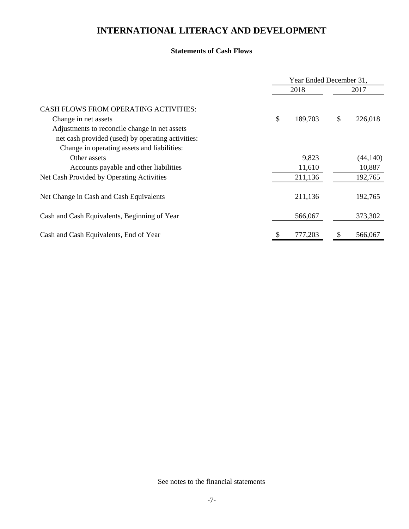# **Statements of Cash Flows**

|                                                                                                                                                                                                                                     |      | Year Ended December 31, |    |           |
|-------------------------------------------------------------------------------------------------------------------------------------------------------------------------------------------------------------------------------------|------|-------------------------|----|-----------|
| Change in net assets<br>Adjustments to reconcile change in net assets<br>net cash provided (used) by operating activities:<br>Change in operating assets and liabilities:<br>Other assets<br>Accounts payable and other liabilities | 2018 |                         |    | 2017      |
| <b>CASH FLOWS FROM OPERATING ACTIVITIES:</b>                                                                                                                                                                                        |      |                         |    |           |
|                                                                                                                                                                                                                                     | \$   | 189,703                 | \$ | 226,018   |
|                                                                                                                                                                                                                                     |      |                         |    |           |
|                                                                                                                                                                                                                                     |      |                         |    |           |
|                                                                                                                                                                                                                                     |      |                         |    |           |
|                                                                                                                                                                                                                                     |      | 9,823                   |    | (44, 140) |
|                                                                                                                                                                                                                                     |      | 11,610                  |    | 10,887    |
| Net Cash Provided by Operating Activities                                                                                                                                                                                           |      | 211,136                 |    | 192,765   |
| Net Change in Cash and Cash Equivalents                                                                                                                                                                                             |      | 211,136                 |    | 192,765   |
| Cash and Cash Equivalents, Beginning of Year                                                                                                                                                                                        |      | 566,067                 |    | 373,302   |
| Cash and Cash Equivalents, End of Year                                                                                                                                                                                              | \$   | 777,203                 | \$ | 566,067   |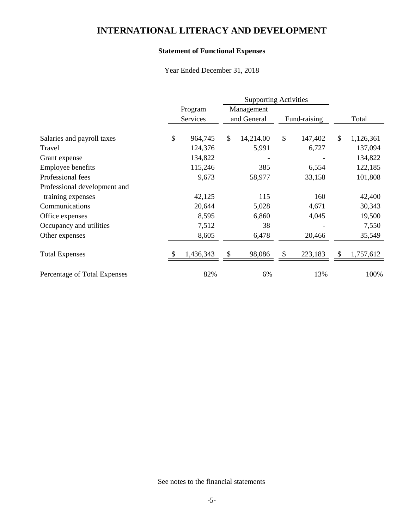# **Statement of Functional Expenses**

Year Ended December 31, 2018

|                              |    |                     | <b>Supporting Activities</b> |                           |     |              |              |           |
|------------------------------|----|---------------------|------------------------------|---------------------------|-----|--------------|--------------|-----------|
|                              |    | Program<br>Services |                              | Management<br>and General |     | Fund-raising |              | Total     |
| Salaries and payroll taxes   | \$ | 964,745             | \$                           | 14,214.00                 | \$  | 147,402      | $\mathbb{S}$ | 1,126,361 |
| Travel                       |    | 124,376             |                              | 5,991                     |     | 6,727        |              | 137,094   |
| Grant expense                |    | 134,822             |                              |                           |     |              |              | 134,822   |
| Employee benefits            |    | 115,246             |                              | 385                       |     | 6,554        |              | 122,185   |
| Professional fees            |    | 9,673               |                              | 58,977                    |     | 33,158       |              | 101,808   |
| Professional development and |    |                     |                              |                           |     |              |              |           |
| training expenses            |    | 42,125              |                              | 115                       |     | 160          |              | 42,400    |
| Communications               |    | 20,644              |                              | 5,028                     |     | 4,671        |              | 30,343    |
| Office expenses              |    | 8,595               |                              | 6,860                     |     | 4,045        |              | 19,500    |
| Occupancy and utilities      |    | 7,512               |                              | 38                        |     |              |              | 7,550     |
| Other expenses               |    | 8,605               |                              | 6,478                     |     | 20,466       |              | 35,549    |
| <b>Total Expenses</b>        |    | 1,436,343           | \$                           | 98,086                    | \$. | 223,183      | \$           | 1,757,612 |
| Percentage of Total Expenses |    | 82%                 |                              | 6%                        |     | 13%          |              | 100%      |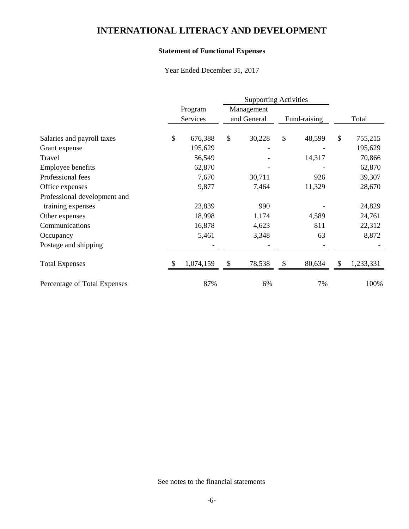# **Statement of Functional Expenses**

Year Ended December 31, 2017

|                              |    | Program<br>Services |               | Management<br>and General |    |              |     |           |
|------------------------------|----|---------------------|---------------|---------------------------|----|--------------|-----|-----------|
|                              |    |                     |               |                           |    | Fund-raising |     | Total     |
| Salaries and payroll taxes   | \$ | 676,388             | $\mathcal{S}$ | 30,228                    | \$ | 48,599       | \$  | 755,215   |
| Grant expense                |    | 195,629             |               |                           |    |              |     | 195,629   |
| Travel                       |    | 56,549              |               |                           |    | 14,317       |     | 70,866    |
| Employee benefits            |    | 62,870              |               |                           |    |              |     | 62,870    |
| Professional fees            |    | 7,670               |               | 30,711                    |    | 926          |     | 39,307    |
| Office expenses              |    | 9,877               |               | 7,464                     |    | 11,329       |     | 28,670    |
| Professional development and |    |                     |               |                           |    |              |     |           |
| training expenses            |    | 23,839              |               | 990                       |    |              |     | 24,829    |
| Other expenses               |    | 18,998              |               | 1,174                     |    | 4,589        |     | 24,761    |
| Communications               |    | 16,878              |               | 4,623                     |    | 811          |     | 22,312    |
| Occupancy                    |    | 5,461               |               | 3,348                     |    | 63           |     | 8,872     |
| Postage and shipping         |    |                     |               |                           |    |              |     |           |
| <b>Total Expenses</b>        |    | 1,074,159           |               | 78,538                    |    | 80,634       | \$. | 1,233,331 |
| Percentage of Total Expenses |    | 87%                 |               | 6%                        |    | 7%           |     | 100%      |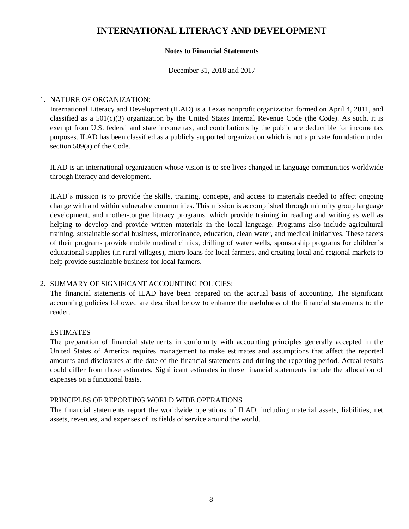### **Notes to Financial Statements**

December 31, 2018 and 2017

### 1. NATURE OF ORGANIZATION:

International Literacy and Development (ILAD) is a Texas nonprofit organization formed on April 4, 2011, and classified as a 501(c)(3) organization by the United States Internal Revenue Code (the Code). As such, it is exempt from U.S. federal and state income tax, and contributions by the public are deductible for income tax purposes. ILAD has been classified as a publicly supported organization which is not a private foundation under section 509(a) of the Code.

ILAD is an international organization whose vision is to see lives changed in language communities worldwide through literacy and development.

ILAD's mission is to provide the skills, training, concepts, and access to materials needed to affect ongoing change with and within vulnerable communities. This mission is accomplished through minority group language development, and mother-tongue literacy programs, which provide training in reading and writing as well as helping to develop and provide written materials in the local language. Programs also include agricultural training, sustainable social business, microfinance, education, clean water, and medical initiatives. These facets of their programs provide mobile medical clinics, drilling of water wells, sponsorship programs for children's educational supplies (in rural villages), micro loans for local farmers, and creating local and regional markets to help provide sustainable business for local farmers.

## 2. SUMMARY OF SIGNIFICANT ACCOUNTING POLICIES:

The financial statements of ILAD have been prepared on the accrual basis of accounting. The significant accounting policies followed are described below to enhance the usefulness of the financial statements to the reader.

## ESTIMATES

The preparation of financial statements in conformity with accounting principles generally accepted in the United States of America requires management to make estimates and assumptions that affect the reported amounts and disclosures at the date of the financial statements and during the reporting period. Actual results could differ from those estimates. Significant estimates in these financial statements include the allocation of expenses on a functional basis.

#### PRINCIPLES OF REPORTING WORLD WIDE OPERATIONS

The financial statements report the worldwide operations of ILAD, including material assets, liabilities, net assets, revenues, and expenses of its fields of service around the world.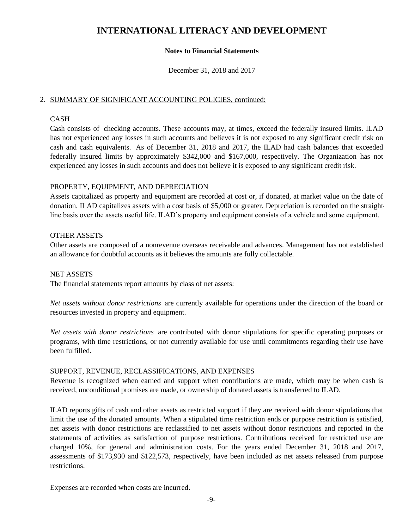## **Notes to Financial Statements**

December 31, 2018 and 2017

## 2. SUMMARY OF SIGNIFICANT ACCOUNTING POLICIES, continued:

## CASH

Cash consists of checking accounts. These accounts may, at times, exceed the federally insured limits. ILAD has not experienced any losses in such accounts and believes it is not exposed to any significant credit risk on cash and cash equivalents. As of December 31, 2018 and 2017, the ILAD had cash balances that exceeded federally insured limits by approximately \$342,000 and \$167,000, respectively. The Organization has not experienced any losses in such accounts and does not believe it is exposed to any significant credit risk.

## PROPERTY, EQUIPMENT, AND DEPRECIATION

Assets capitalized as property and equipment are recorded at cost or, if donated, at market value on the date of donation. ILAD capitalizes assets with a cost basis of \$5,000 or greater. Depreciation is recorded on the straightline basis over the assets useful life. ILAD's property and equipment consists of a vehicle and some equipment.

### OTHER ASSETS

Other assets are composed of a nonrevenue overseas receivable and advances. Management has not established an allowance for doubtful accounts as it believes the amounts are fully collectable.

#### NET ASSETS

The financial statements report amounts by class of net assets:

*Net assets without donor restrictions* are currently available for operations under the direction of the board or resources invested in property and equipment.

*Net assets with donor restrictions* are contributed with donor stipulations for specific operating purposes or programs, with time restrictions, or not currently available for use until commitments regarding their use have been fulfilled.

## SUPPORT, REVENUE, RECLASSIFICATIONS, AND EXPENSES

Revenue is recognized when earned and support when contributions are made, which may be when cash is received, unconditional promises are made, or ownership of donated assets is transferred to ILAD.

ILAD reports gifts of cash and other assets as restricted support if they are received with donor stipulations that limit the use of the donated amounts. When a stipulated time restriction ends or purpose restriction is satisfied, net assets with donor restrictions are reclassified to net assets without donor restrictions and reported in the statements of activities as satisfaction of purpose restrictions. Contributions received for restricted use are charged 10%, for general and administration costs. For the years ended December 31, 2018 and 2017, assessments of \$173,930 and \$122,573, respectively, have been included as net assets released from purpose restrictions.

Expenses are recorded when costs are incurred.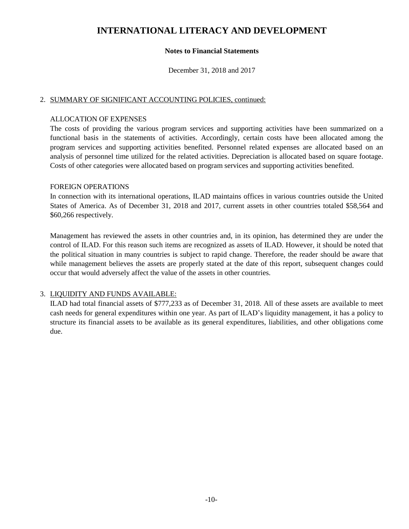## **Notes to Financial Statements**

December 31, 2018 and 2017

### 2. SUMMARY OF SIGNIFICANT ACCOUNTING POLICIES, continued:

### ALLOCATION OF EXPENSES

The costs of providing the various program services and supporting activities have been summarized on a functional basis in the statements of activities. Accordingly, certain costs have been allocated among the program services and supporting activities benefited. Personnel related expenses are allocated based on an analysis of personnel time utilized for the related activities. Depreciation is allocated based on square footage. Costs of other categories were allocated based on program services and supporting activities benefited.

### FOREIGN OPERATIONS

In connection with its international operations, ILAD maintains offices in various countries outside the United States of America. As of December 31, 2018 and 2017, current assets in other countries totaled \$58,564 and \$60,266 respectively.

Management has reviewed the assets in other countries and, in its opinion, has determined they are under the control of ILAD. For this reason such items are recognized as assets of ILAD. However, it should be noted that the political situation in many countries is subject to rapid change. Therefore, the reader should be aware that while management believes the assets are properly stated at the date of this report, subsequent changes could occur that would adversely affect the value of the assets in other countries.

## 3. LIQUIDITY AND FUNDS AVAILABLE:

ILAD had total financial assets of \$777,233 as of December 31, 2018. All of these assets are available to meet cash needs for general expenditures within one year. As part of ILAD's liquidity management, it has a policy to structure its financial assets to be available as its general expenditures, liabilities, and other obligations come due.